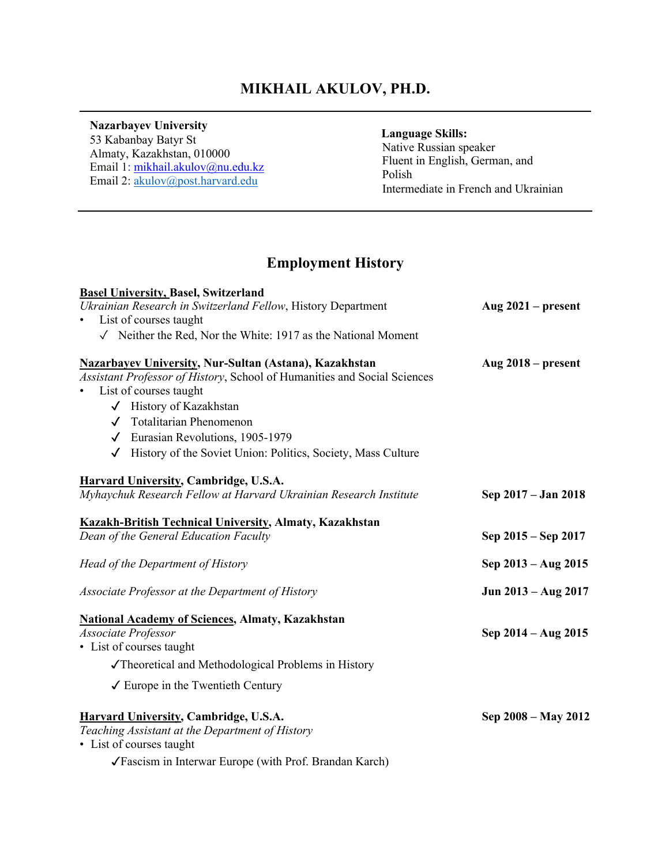## **MIKHAIL AKULOV, PH.D.**  $\mathcal{L}_\mathcal{L} = \mathcal{L}_\mathcal{L} = \mathcal{L}_\mathcal{L} = \mathcal{L}_\mathcal{L} = \mathcal{L}_\mathcal{L} = \mathcal{L}_\mathcal{L} = \mathcal{L}_\mathcal{L} = \mathcal{L}_\mathcal{L} = \mathcal{L}_\mathcal{L} = \mathcal{L}_\mathcal{L} = \mathcal{L}_\mathcal{L} = \mathcal{L}_\mathcal{L} = \mathcal{L}_\mathcal{L} = \mathcal{L}_\mathcal{L} = \mathcal{L}_\mathcal{L} = \mathcal{L}_\mathcal{L} = \mathcal{L}_\mathcal{L}$

#### **Nazarbayev University**

 53 Kabanbay Batyr St Almaty, Kazakhstan, 010000 Email 1: mikhail.akulov@nu.edu.kz Email 2: akulov@post.harvard.edu

#### **Language Skills:**

 Native Russian speaker Fluent in English, German, and Polish Intermediate in French and Ukrainian

# **Employment History**

| <b>Basel University, Basel, Switzerland</b>                                                                                               |                      |
|-------------------------------------------------------------------------------------------------------------------------------------------|----------------------|
| Ukrainian Research in Switzerland Fellow, History Department                                                                              | Aug $2021$ – present |
| List of courses taught                                                                                                                    |                      |
| $\sqrt{\phantom{a}}$ Neither the Red, Nor the White: 1917 as the National Moment                                                          |                      |
| <b>Nazarbayev University, Nur-Sultan (Astana), Kazakhstan</b><br>Assistant Professor of History, School of Humanities and Social Sciences | Aug $2018$ – present |
| List of courses taught                                                                                                                    |                      |
| √ History of Kazakhstan                                                                                                                   |                      |
| √ Totalitarian Phenomenon                                                                                                                 |                      |
| $\checkmark$ Eurasian Revolutions, 1905-1979                                                                                              |                      |
| History of the Soviet Union: Politics, Society, Mass Culture<br>$\checkmark$                                                              |                      |
| <b>Harvard University, Cambridge, U.S.A.</b>                                                                                              |                      |
| Myhaychuk Research Fellow at Harvard Ukrainian Research Institute                                                                         | Sep 2017 – Jan 2018  |
| <b>Kazakh-British Technical University, Almaty, Kazakhstan</b>                                                                            |                      |
| Dean of the General Education Faculty                                                                                                     | Sep 2015 – Sep 2017  |
| Head of the Department of History                                                                                                         | Sep 2013 – Aug 2015  |
| Associate Professor at the Department of History                                                                                          | Jun 2013 - Aug 2017  |
| <b>National Academy of Sciences, Almaty, Kazakhstan</b>                                                                                   |                      |
| Associate Professor                                                                                                                       | Sep 2014 – Aug 2015  |
| • List of courses taught                                                                                                                  |                      |
| √Theoretical and Methodological Problems in History                                                                                       |                      |
| $\checkmark$ Europe in the Twentieth Century                                                                                              |                      |
| <b>Harvard University, Cambridge, U.S.A.</b><br>Teaching Assistant at the Department of History<br>• List of courses taught               | Sep 2008 – May 2012  |
| √Fascism in Interwar Europe (with Prof. Brandan Karch)                                                                                    |                      |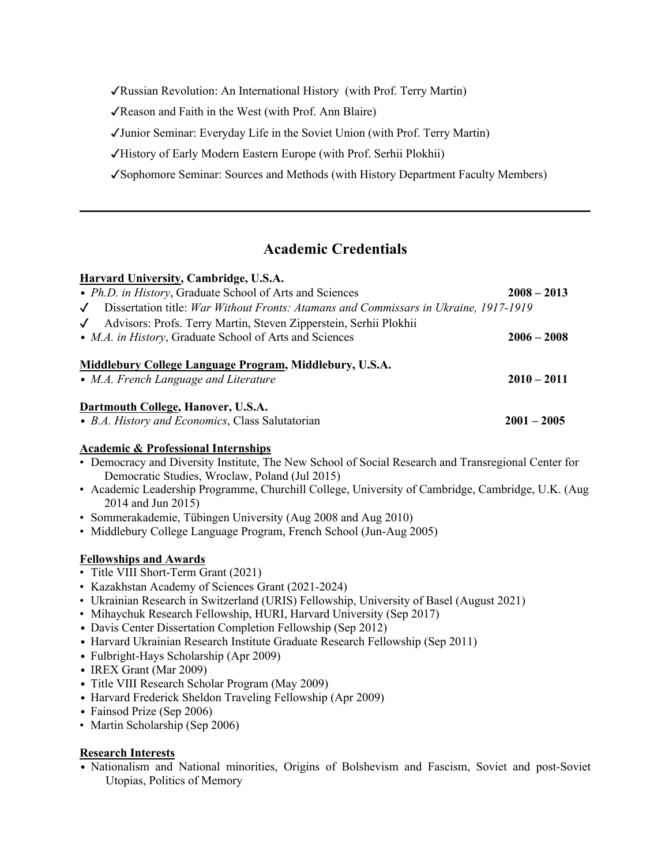✓Russian Revolution: An International History (with Prof. Terry Martin)

✓Reason and Faith in the West (with Prof. Ann Blaire)

✓Junior Seminar: Everyday Life in the Soviet Union (with Prof. Terry Martin)

✓History of Early Modern Eastern Europe (with Prof. Serhii Plokhii)

✓Sophomore Seminar: Sources and Methods (with History Department Faculty Members)

# **Academic Credentials**

**\_\_\_\_\_\_\_\_\_\_\_\_\_\_\_\_\_\_\_\_\_\_\_\_\_\_\_\_\_\_\_\_\_\_\_\_\_\_\_\_\_\_\_\_\_\_\_\_\_\_\_\_\_\_\_\_\_\_\_\_\_\_\_\_\_\_\_\_\_\_\_\_\_\_\_\_\_\_\_\_\_\_\_\_\_**

| Harvard University, Cambridge, U.S.A.                                                                |               |
|------------------------------------------------------------------------------------------------------|---------------|
| • Ph.D. in History, Graduate School of Arts and Sciences                                             | $2008 - 2013$ |
| Dissertation title: War Without Fronts: Atamans and Commissars in Ukraine, 1917-1919<br>$\checkmark$ |               |
| Advisors: Profs. Terry Martin, Steven Zipperstein, Serhii Plokhii<br>$\checkmark$                    |               |
| • M.A. in History, Graduate School of Arts and Sciences                                              | $2006 - 2008$ |
| Middlebury College Language Program, Middlebury, U.S.A.<br>• M.A. French Language and Literature     | $2010 - 2011$ |
| Dartmouth College, Hanover, U.S.A.<br>• B.A. History and Economics, Class Salutatorian               | $2001 - 2005$ |

#### **Academic & Professional Internships**

- Democracy and Diversity Institute, The New School of Social Research and Transregional Center for Democratic Studies, Wroclaw, Poland (Jul 2015)
- Academic Leadership Programme, Churchill College, University of Cambridge, Cambridge, U.K. (Aug 2014 and Jun 2015)
- Sommerakademie, Tübingen University (Aug 2008 and Aug 2010)
- Middlebury College Language Program, French School (Jun-Aug 2005)

#### **Fellowships and Awards**

- Title VIII Short-Term Grant (2021)
- Kazakhstan Academy of Sciences Grant (2021-2024)
- Ukrainian Research in Switzerland (URIS) Fellowship, University of Basel (August 2021)
- Mihaychuk Research Fellowship, HURI, Harvard University (Sep 2017)
- Davis Center Dissertation Completion Fellowship (Sep 2012)
- Harvard Ukrainian Research Institute Graduate Research Fellowship (Sep 2011)
- Fulbright-Hays Scholarship (Apr 2009)
- IREX Grant (Mar 2009)
- Title VIII Research Scholar Program (May 2009)
- Harvard Frederick Sheldon Traveling Fellowship (Apr 2009)
- Fainsod Prize (Sep 2006)
- Martin Scholarship (Sep 2006)

#### **Research Interests**

• Nationalism and National minorities, Origins of Bolshevism and Fascism, Soviet and post-Soviet Utopias, Politics of Memory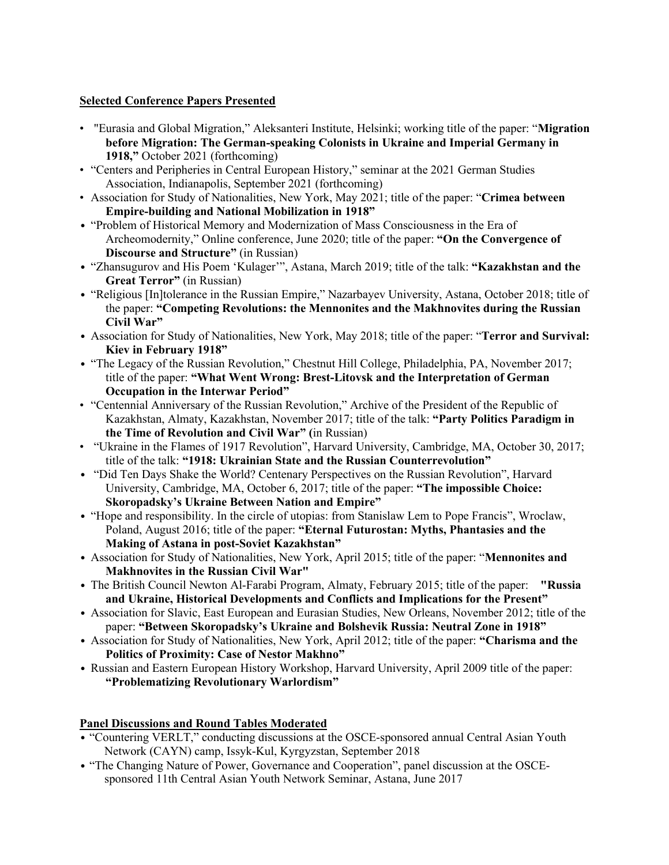#### **Selected Conference Papers Presented**

- "Eurasia and Global Migration," Aleksanteri Institute, Helsinki; working title of the paper: "**Migration before Migration: The German-speaking Colonists in Ukraine and Imperial Germany in 1918,"** October 2021 (forthcoming)
- "Centers and Peripheries in Central European History," seminar at the 2021 German Studies Association, Indianapolis, September 2021 (forthcoming)
- Association for Study of Nationalities, New York, May 2021; title of the paper: "**Crimea between Empire-building and National Mobilization in 1918"**
- "Problem of Historical Memory and Modernization of Mass Consciousness in the Era of Archeomodernity," Online conference, June 2020; title of the paper: **"On the Convergence of Discourse and Structure"** (in Russian)
- "Zhansugurov and His Poem 'Kulager'", Astana, March 2019; title of the talk: **"Kazakhstan and the Great Terror"** (in Russian)
- "Religious [In]tolerance in the Russian Empire," Nazarbayev University, Astana, October 2018; title of the paper: **"Competing Revolutions: the Mennonites and the Makhnovites during the Russian Civil War"**
- Association for Study of Nationalities, New York, May 2018; title of the paper: "**Terror and Survival: Kiev in February 1918"**
- "The Legacy of the Russian Revolution," Chestnut Hill College, Philadelphia, PA, November 2017; title of the paper: **"What Went Wrong: Brest-Litovsk and the Interpretation of German Occupation in the Interwar Period"**
- "Centennial Anniversary of the Russian Revolution," Archive of the President of the Republic of Kazakhstan, Almaty, Kazakhstan, November 2017; title of the talk: **"Party Politics Paradigm in the Time of Revolution and Civil War" (**in Russian)
- "Ukraine in the Flames of 1917 Revolution", Harvard University, Cambridge, MA, October 30, 2017; title of the talk: **"1918: Ukrainian State and the Russian Counterrevolution"**
- "Did Ten Days Shake the World? Centenary Perspectives on the Russian Revolution", Harvard University, Cambridge, MA, October 6, 2017; title of the paper: **"The impossible Choice: Skoropadsky's Ukraine Between Nation and Empire"**
- "Hope and responsibility. In the circle of utopias: from Stanislaw Lem to Pope Francis", Wroclaw, Poland, August 2016; title of the paper: **"Eternal Futurostan: Myths, Phantasies and the Making of Astana in post-Soviet Kazakhstan"**
- Association for Study of Nationalities, New York, April 2015; title of the paper: "**Mennonites and Makhnovites in the Russian Civil War"**
- The British Council Newton Al-Farabi Program, Almaty, February 2015; title of the paper: **"Russia and Ukraine, Historical Developments and Conflicts and Implications for the Present"**
- Association for Slavic, East European and Eurasian Studies, New Orleans, November 2012; title of the paper: **"Between Skoropadsky's Ukraine and Bolshevik Russia: Neutral Zone in 1918"**
- Association for Study of Nationalities, New York, April 2012; title of the paper: **"Charisma and the Politics of Proximity: Case of Nestor Makhno"**
- Russian and Eastern European History Workshop, Harvard University, April 2009 title of the paper: **"Problematizing Revolutionary Warlordism"**

#### **Panel Discussions and Round Tables Moderated**

- "Countering VERLT," conducting discussions at the OSCE-sponsored annual Central Asian Youth Network (CAYN) camp, Issyk-Kul, Kyrgyzstan, September 2018
- "The Changing Nature of Power, Governance and Cooperation", panel discussion at the OSCEsponsored 11th Central Asian Youth Network Seminar, Astana, June 2017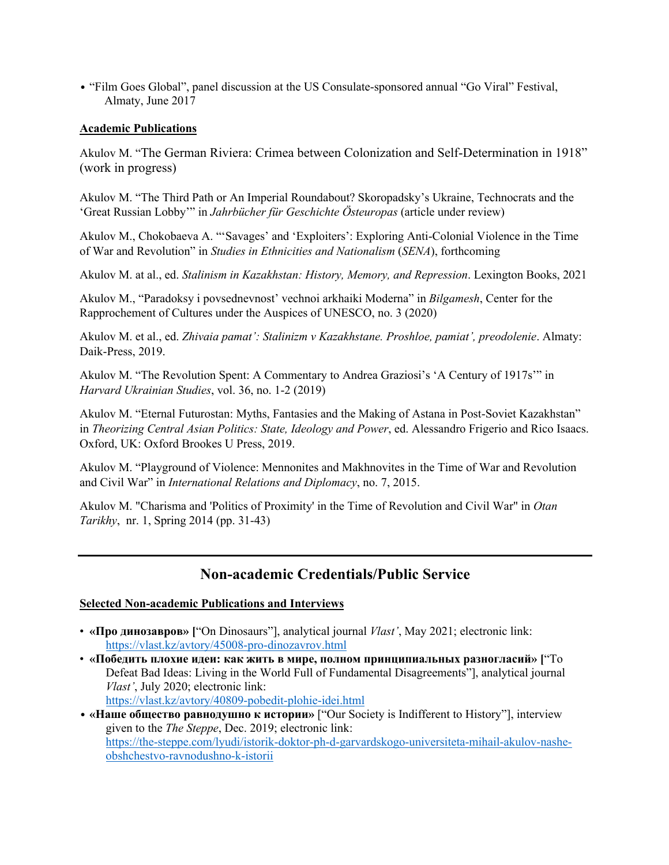• "Film Goes Global", panel discussion at the US Consulate-sponsored annual "Go Viral" Festival, Almaty, June 2017

#### **Academic Publications**

Akulov M. "The German Riviera: Crimea between Colonization and Self-Determination in 1918" (work in progress)

Akulov M. "The Third Path or An Imperial Roundabout? Skoropadsky's Ukraine, Technocrats and the 'Great Russian Lobby'" in *Jahrbücher für Geschichte Östeuropas* (article under review)

Akulov M., Chokobaeva A. "'Savages' and 'Exploiters': Exploring Anti-Colonial Violence in the Time of War and Revolution" in *Studies in Ethnicities and Nationalism* (*SENA*), forthcoming

Akulov M. at al., ed. *Stalinism in Kazakhstan: History, Memory, and Repression*. Lexington Books, 2021

Akulov M., "Paradoksy i povsednevnost' vechnoi arkhaiki Moderna" in *Bilgamesh*, Center for the Rapprochement of Cultures under the Auspices of UNESCO, no. 3 (2020)

Akulov M. et al., ed. *Zhivaia pamat': Stalinizm v Kazakhstane. Proshloe, pamiat', preodolenie*. Almaty: Daik-Press, 2019.

Akulov M. "The Revolution Spent: A Commentary to Andrea Graziosi's 'A Century of 1917s'" in *Harvard Ukrainian Studies*, vol. 36, no. 1-2 (2019)

Akulov M. "Eternal Futurostan: Myths, Fantasies and the Making of Astana in Post-Soviet Kazakhstan" in *Theorizing Central Asian Politics: State, Ideology and Power*, ed. Alessandro Frigerio and Rico Isaacs. Oxford, UK: Oxford Brookes U Press, 2019.

Akulov M. "Playground of Violence: Mennonites and Makhnovites in the Time of War and Revolution and Civil War" in *International Relations and Diplomacy*, no. 7, 2015.

Akulov M. "Charisma and 'Politics of Proximity' in the Time of Revolution and Civil War" in *Otan Tarikhy*, nr. 1, Spring 2014 (pp. 31-43)

# **Non-academic Credentials/Public Service**

#### **Selected Non-academic Publications and Interviews**

- **«Про динозавров» [**"On Dinosaurs"], analytical journal *Vlast'*, May 2021; electronic link: https://vlast.kz/avtory/45008-pro-dinozavrov.html
- **«Победить плохие идеи: как жить в мире, полном принципиальных разногласий» [**"To Defeat Bad Ideas: Living in the World Full of Fundamental Disagreements"], analytical journal *Vlast'*, July 2020; electronic link: https://vlast.kz/avtory/40809-pobedit-plohie-idei.html

<sup>•</sup> **«Наше общество равнодушно к истории»** ["Our Society is Indifferent to History"], interview given to the *The Steppe*, Dec. 2019; electronic link: https://the-steppe.com/lyudi/istorik-doktor-ph-d-garvardskogo-universiteta-mihail-akulov-nasheobshchestvo-ravnodushno-k-istorii